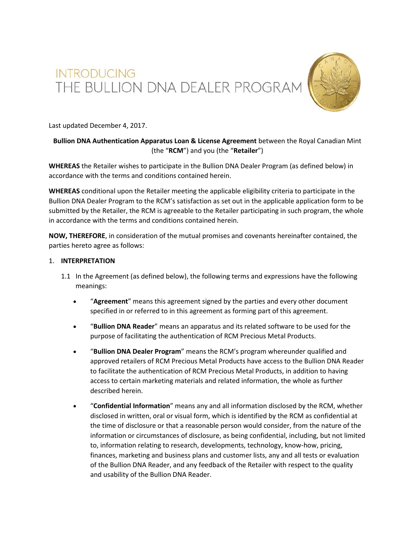# INTRODUCING<br>THE BULLION DNA DEALER PROGRAM



Last updated December 4, 2017.

# **Bullion DNA Authentication Apparatus Loan & License Agreement** between the Royal Canadian Mint (the "**RCM**") and you (the "**Retailer**")

**WHEREAS** the Retailer wishes to participate in the Bullion DNA Dealer Program (as defined below) in accordance with the terms and conditions contained herein.

**WHEREAS** conditional upon the Retailer meeting the applicable eligibility criteria to participate in the Bullion DNA Dealer Program to the RCM's satisfaction as set out in the applicable application form to be submitted by the Retailer, the RCM is agreeable to the Retailer participating in such program, the whole in accordance with the terms and conditions contained herein.

**NOW, THEREFORE**, in consideration of the mutual promises and covenants hereinafter contained, the parties hereto agree as follows:

# 1. **INTERPRETATION**

- 1.1 In the Agreement (as defined below), the following terms and expressions have the following meanings:
	- "**Agreement**" means this agreement signed by the parties and every other document specified in or referred to in this agreement as forming part of this agreement.
	- "**Bullion DNA Reader**" means an apparatus and its related software to be used for the purpose of facilitating the authentication of RCM Precious Metal Products.
	- "**Bullion DNA Dealer Program**" means the RCM's program whereunder qualified and approved retailers of RCM Precious Metal Products have access to the Bullion DNA Reader to facilitate the authentication of RCM Precious Metal Products, in addition to having access to certain marketing materials and related information, the whole as further described herein.
	- "**Confidential Information**" means any and all information disclosed by the RCM, whether disclosed in written, oral or visual form, which is identified by the RCM as confidential at the time of disclosure or that a reasonable person would consider, from the nature of the information or circumstances of disclosure, as being confidential, including, but not limited to, information relating to research, developments, technology, know-how, pricing, finances, marketing and business plans and customer lists, any and all tests or evaluation of the Bullion DNA Reader, and any feedback of the Retailer with respect to the quality and usability of the Bullion DNA Reader.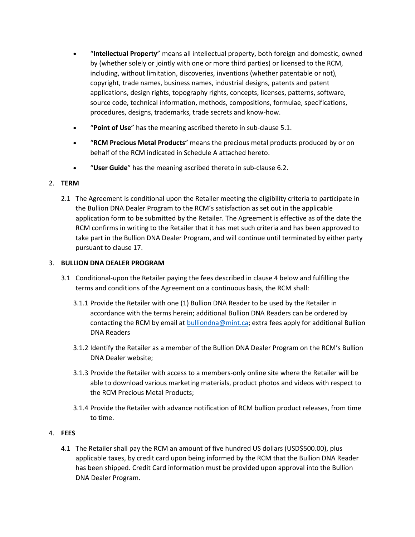- "**Intellectual Property**" means all intellectual property, both foreign and domestic, owned by (whether solely or jointly with one or more third parties) or licensed to the RCM, including, without limitation, discoveries, inventions (whether patentable or not), copyright, trade names, business names, industrial designs, patents and patent applications, design rights, topography rights, concepts, licenses, patterns, software, source code, technical information, methods, compositions, formulae, specifications, procedures, designs, trademarks, trade secrets and know-how.
- "**Point of Use**" has the meaning ascribed thereto in sub-clause 5.1.
- "**RCM Precious Metal Products**" means the precious metal products produced by or on behalf of the RCM indicated in Schedule A attached hereto.
- "**User Guide**" has the meaning ascribed thereto in sub-clause 6.2.

# 2. **TERM**

2.1 The Agreement is conditional upon the Retailer meeting the eligibility criteria to participate in the Bullion DNA Dealer Program to the RCM's satisfaction as set out in the applicable application form to be submitted by the Retailer. The Agreement is effective as of the date the RCM confirms in writing to the Retailer that it has met such criteria and has been approved to take part in the Bullion DNA Dealer Program, and will continue until terminated by either party pursuant to clause 17.

# 3. **BULLION DNA DEALER PROGRAM**

- 3.1 Conditional-upon the Retailer paying the fees described in clause 4 below and fulfilling the terms and conditions of the Agreement on a continuous basis, the RCM shall:
	- 3.1.1 Provide the Retailer with one (1) Bullion DNA Reader to be used by the Retailer in accordance with the terms herein; additional Bullion DNA Readers can be ordered by contacting the RCM by email at **bulliondna@mint.ca**; extra fees apply for additional Bullion DNA Readers
	- 3.1.2 Identify the Retailer as a member of the Bullion DNA Dealer Program on the RCM's Bullion DNA Dealer website;
	- 3.1.3 Provide the Retailer with access to a members-only online site where the Retailer will be able to download various marketing materials, product photos and videos with respect to the RCM Precious Metal Products;
	- 3.1.4 Provide the Retailer with advance notification of RCM bullion product releases, from time to time.

# 4. **FEES**

4.1 The Retailer shall pay the RCM an amount of five hundred US dollars (USD\$500.00), plus applicable taxes, by credit card upon being informed by the RCM that the Bullion DNA Reader has been shipped. Credit Card information must be provided upon approval into the Bullion DNA Dealer Program.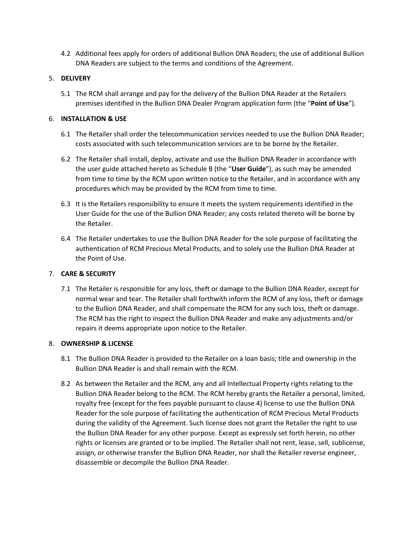4.2 Additional fees apply for orders of additional Bullion DNA Readers; the use of additional Bullion DNA Readers are subject to the terms and conditions of the Agreement.

# 5. **DELIVERY**

5.1 The RCM shall arrange and pay for the delivery of the Bullion DNA Reader at the Retailers premises identified in the Bullion DNA Dealer Program application form (the "**Point of Use**").

# 6. **INSTALLATION & USE**

- 6.1 The Retailer shall order the telecommunication services needed to use the Bullion DNA Reader; costs associated with such telecommunication services are to be borne by the Retailer.
- 6.2 The Retailer shall install, deploy, activate and use the Bullion DNA Reader in accordance with the user guide attached hereto as Schedule B (the "**User Guide**"), as such may be amended from time to time by the RCM upon written notice to the Retailer, and in accordance with any procedures which may be provided by the RCM from time to time.
- 6.3 It is the Retailers responsibility to ensure it meets the system requirements identified in the User Guide for the use of the Bullion DNA Reader; any costs related thereto will be borne by the Retailer.
- 6.4 The Retailer undertakes to use the Bullion DNA Reader for the sole purpose of facilitating the authentication of RCM Precious Metal Products, and to solely use the Bullion DNA Reader at the Point of Use.

# 7. **CARE & SECURITY**

7.1 The Retailer is responsible for any loss, theft or damage to the Bullion DNA Reader, except for normal wear and tear. The Retailer shall forthwith inform the RCM of any loss, theft or damage to the Bullion DNA Reader, and shall compensate the RCM for any such loss, theft or damage. The RCM has the right to inspect the Bullion DNA Reader and make any adjustments and/or repairs it deems appropriate upon notice to the Retailer.

# 8. **OWNERSHIP & LICENSE**

- 8.1 The Bullion DNA Reader is provided to the Retailer on a loan basis; title and ownership in the Bullion DNA Reader is and shall remain with the RCM.
- 8.2 As between the Retailer and the RCM, any and all Intellectual Property rights relating to the Bullion DNA Reader belong to the RCM. The RCM hereby grants the Retailer a personal, limited, royalty free (except for the fees payable pursuant to clause 4) license to use the Bullion DNA Reader for the sole purpose of facilitating the authentication of RCM Precious Metal Products during the validity of the Agreement. Such license does not grant the Retailer the right to use the Bullion DNA Reader for any other purpose. Except as expressly set forth herein, no other rights or licenses are granted or to be implied. The Retailer shall not rent, lease, sell, sublicense, assign, or otherwise transfer the Bullion DNA Reader, nor shall the Retailer reverse engineer, disassemble or decompile the Bullion DNA Reader.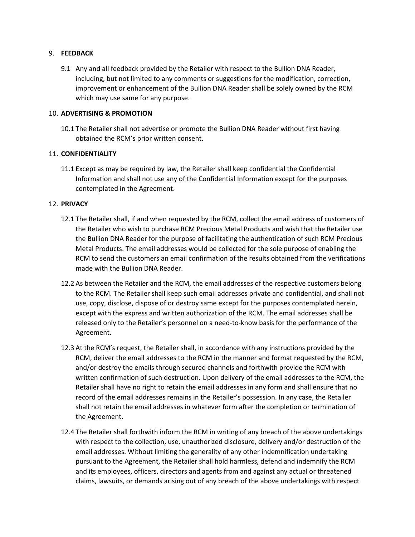## 9. **FEEDBACK**

9.1 Any and all feedback provided by the Retailer with respect to the Bullion DNA Reader, including, but not limited to any comments or suggestions for the modification, correction, improvement or enhancement of the Bullion DNA Reader shall be solely owned by the RCM which may use same for any purpose.

## 10. **ADVERTISING & PROMOTION**

10.1 The Retailer shall not advertise or promote the Bullion DNA Reader without first having obtained the RCM's prior written consent.

## 11. **CONFIDENTIALITY**

11.1 Except as may be required by law, the Retailer shall keep confidential the Confidential Information and shall not use any of the Confidential Information except for the purposes contemplated in the Agreement.

## 12. **PRIVACY**

- 12.1 The Retailer shall, if and when requested by the RCM, collect the email address of customers of the Retailer who wish to purchase RCM Precious Metal Products and wish that the Retailer use the Bullion DNA Reader for the purpose of facilitating the authentication of such RCM Precious Metal Products. The email addresses would be collected for the sole purpose of enabling the RCM to send the customers an email confirmation of the results obtained from the verifications made with the Bullion DNA Reader.
- 12.2 As between the Retailer and the RCM, the email addresses of the respective customers belong to the RCM. The Retailer shall keep such email addresses private and confidential, and shall not use, copy, disclose, dispose of or destroy same except for the purposes contemplated herein, except with the express and written authorization of the RCM. The email addresses shall be released only to the Retailer's personnel on a need-to-know basis for the performance of the Agreement.
- 12.3 At the RCM's request, the Retailer shall, in accordance with any instructions provided by the RCM, deliver the email addresses to the RCM in the manner and format requested by the RCM, and/or destroy the emails through secured channels and forthwith provide the RCM with written confirmation of such destruction. Upon delivery of the email addresses to the RCM, the Retailer shall have no right to retain the email addresses in any form and shall ensure that no record of the email addresses remains in the Retailer's possession. In any case, the Retailer shall not retain the email addresses in whatever form after the completion or termination of the Agreement.
- 12.4 The Retailer shall forthwith inform the RCM in writing of any breach of the above undertakings with respect to the collection, use, unauthorized disclosure, delivery and/or destruction of the email addresses. Without limiting the generality of any other indemnification undertaking pursuant to the Agreement, the Retailer shall hold harmless, defend and indemnify the RCM and its employees, officers, directors and agents from and against any actual or threatened claims, lawsuits, or demands arising out of any breach of the above undertakings with respect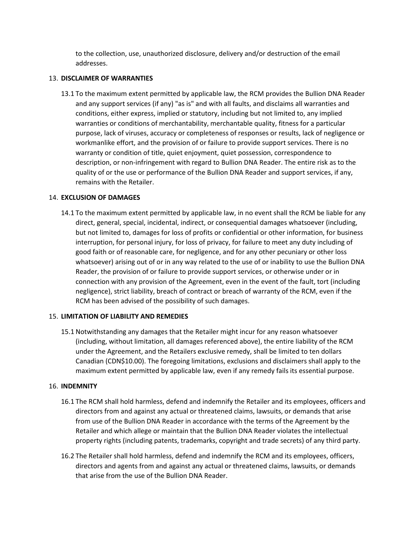to the collection, use, unauthorized disclosure, delivery and/or destruction of the email addresses.

## 13. **DISCLAIMER OF WARRANTIES**

13.1 To the maximum extent permitted by applicable law, the RCM provides the Bullion DNA Reader and any support services (if any) "as is" and with all faults, and disclaims all warranties and conditions, either express, implied or statutory, including but not limited to, any implied warranties or conditions of merchantability, merchantable quality, fitness for a particular purpose, lack of viruses, accuracy or completeness of responses or results, lack of negligence or workmanlike effort, and the provision of or failure to provide support services. There is no warranty or condition of title, quiet enjoyment, quiet possession, correspondence to description, or non-infringement with regard to Bullion DNA Reader. The entire risk as to the quality of or the use or performance of the Bullion DNA Reader and support services, if any, remains with the Retailer.

# 14. **EXCLUSION OF DAMAGES**

14.1 To the maximum extent permitted by applicable law, in no event shall the RCM be liable for any direct, general, special, incidental, indirect, or consequential damages whatsoever (including, but not limited to, damages for loss of profits or confidential or other information, for business interruption, for personal injury, for loss of privacy, for failure to meet any duty including of good faith or of reasonable care, for negligence, and for any other pecuniary or other loss whatsoever) arising out of or in any way related to the use of or inability to use the Bullion DNA Reader, the provision of or failure to provide support services, or otherwise under or in connection with any provision of the Agreement, even in the event of the fault, tort (including negligence), strict liability, breach of contract or breach of warranty of the RCM, even if the RCM has been advised of the possibility of such damages.

#### 15. **LIMITATION OF LIABILITY AND REMEDIES**

15.1 Notwithstanding any damages that the Retailer might incur for any reason whatsoever (including, without limitation, all damages referenced above), the entire liability of the RCM under the Agreement, and the Retailers exclusive remedy, shall be limited to ten dollars Canadian (CDN\$10.00). The foregoing limitations, exclusions and disclaimers shall apply to the maximum extent permitted by applicable law, even if any remedy fails its essential purpose.

#### 16. **INDEMNITY**

- 16.1 The RCM shall hold harmless, defend and indemnify the Retailer and its employees, officers and directors from and against any actual or threatened claims, lawsuits, or demands that arise from use of the Bullion DNA Reader in accordance with the terms of the Agreement by the Retailer and which allege or maintain that the Bullion DNA Reader violates the intellectual property rights (including patents, trademarks, copyright and trade secrets) of any third party.
- 16.2 The Retailer shall hold harmless, defend and indemnify the RCM and its employees, officers, directors and agents from and against any actual or threatened claims, lawsuits, or demands that arise from the use of the Bullion DNA Reader.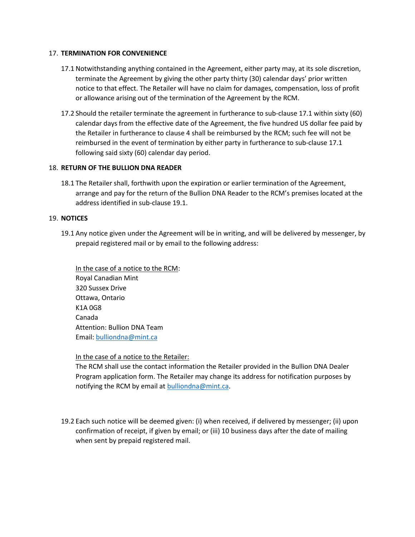# 17. **TERMINATION FOR CONVENIENCE**

- 17.1 Notwithstanding anything contained in the Agreement, either party may, at its sole discretion, terminate the Agreement by giving the other party thirty (30) calendar days' prior written notice to that effect. The Retailer will have no claim for damages, compensation, loss of profit or allowance arising out of the termination of the Agreement by the RCM.
- 17.2 Should the retailer terminate the agreement in furtherance to sub-clause 17.1 within sixty (60) calendar days from the effective date of the Agreement, the five hundred US dollar fee paid by the Retailer in furtherance to clause 4 shall be reimbursed by the RCM; such fee will not be reimbursed in the event of termination by either party in furtherance to sub-clause 17.1 following said sixty (60) calendar day period.

## 18. **RETURN OF THE BULLION DNA READER**

18.1 The Retailer shall, forthwith upon the expiration or earlier termination of the Agreement, arrange and pay for the return of the Bullion DNA Reader to the RCM's premises located at the address identified in sub-clause 19.1.

## 19. **NOTICES**

19.1 Any notice given under the Agreement will be in writing, and will be delivered by messenger, by prepaid registered mail or by email to the following address:

In the case of a notice to the RCM: Royal Canadian Mint 320 Sussex Drive Ottawa, Ontario K1A 0G8 Canada Attention: Bullion DNA Team Email: [bulliondna@mint.ca](mailto:bulliondna@mint.ca)

#### In the case of a notice to the Retailer:

The RCM shall use the contact information the Retailer provided in the Bullion DNA Dealer Program application form. The Retailer may change its address for notification purposes by notifying the RCM by email at [bulliondna@mint.ca.](mailto:bulliondna@mint.ca)

19.2 Each such notice will be deemed given: (i) when received, if delivered by messenger; (ii) upon confirmation of receipt, if given by email; or (iii) 10 business days after the date of mailing when sent by prepaid registered mail.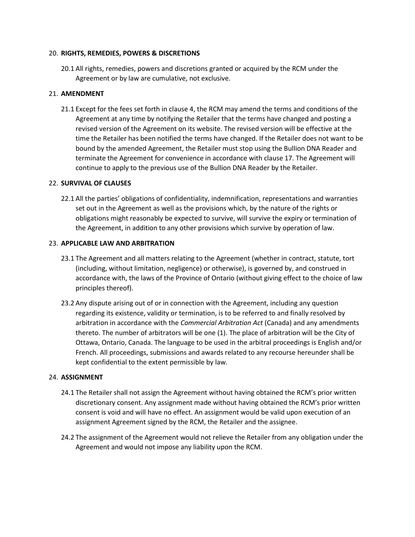## 20. **RIGHTS, REMEDIES, POWERS & DISCRETIONS**

20.1 All rights, remedies, powers and discretions granted or acquired by the RCM under the Agreement or by law are cumulative, not exclusive.

# 21. **AMENDMENT**

21.1 Except for the fees set forth in clause 4, the RCM may amend the terms and conditions of the Agreement at any time by notifying the Retailer that the terms have changed and posting a revised version of the Agreement on its website. The revised version will be effective at the time the Retailer has been notified the terms have changed. If the Retailer does not want to be bound by the amended Agreement, the Retailer must stop using the Bullion DNA Reader and terminate the Agreement for convenience in accordance with clause 17. The Agreement will continue to apply to the previous use of the Bullion DNA Reader by the Retailer.

## 22. **SURVIVAL OF CLAUSES**

22.1 All the parties' obligations of confidentiality, indemnification, representations and warranties set out in the Agreement as well as the provisions which, by the nature of the rights or obligations might reasonably be expected to survive, will survive the expiry or termination of the Agreement, in addition to any other provisions which survive by operation of law.

## 23. **APPLICABLE LAW AND ARBITRATION**

- 23.1 The Agreement and all matters relating to the Agreement (whether in contract, statute, tort (including, without limitation, negligence) or otherwise), is governed by, and construed in accordance with, the laws of the Province of Ontario (without giving effect to the choice of law principles thereof).
- 23.2 Any dispute arising out of or in connection with the Agreement, including any question regarding its existence, validity or termination, is to be referred to and finally resolved by arbitration in accordance with the *Commercial Arbitration Act* (Canada) and any amendments thereto. The number of arbitrators will be one (1). The place of arbitration will be the City of Ottawa, Ontario, Canada. The language to be used in the arbitral proceedings is English and/or French. All proceedings, submissions and awards related to any recourse hereunder shall be kept confidential to the extent permissible by law.

#### 24. **ASSIGNMENT**

- 24.1 The Retailer shall not assign the Agreement without having obtained the RCM's prior written discretionary consent. Any assignment made without having obtained the RCM's prior written consent is void and will have no effect. An assignment would be valid upon execution of an assignment Agreement signed by the RCM, the Retailer and the assignee.
- 24.2 The assignment of the Agreement would not relieve the Retailer from any obligation under the Agreement and would not impose any liability upon the RCM.